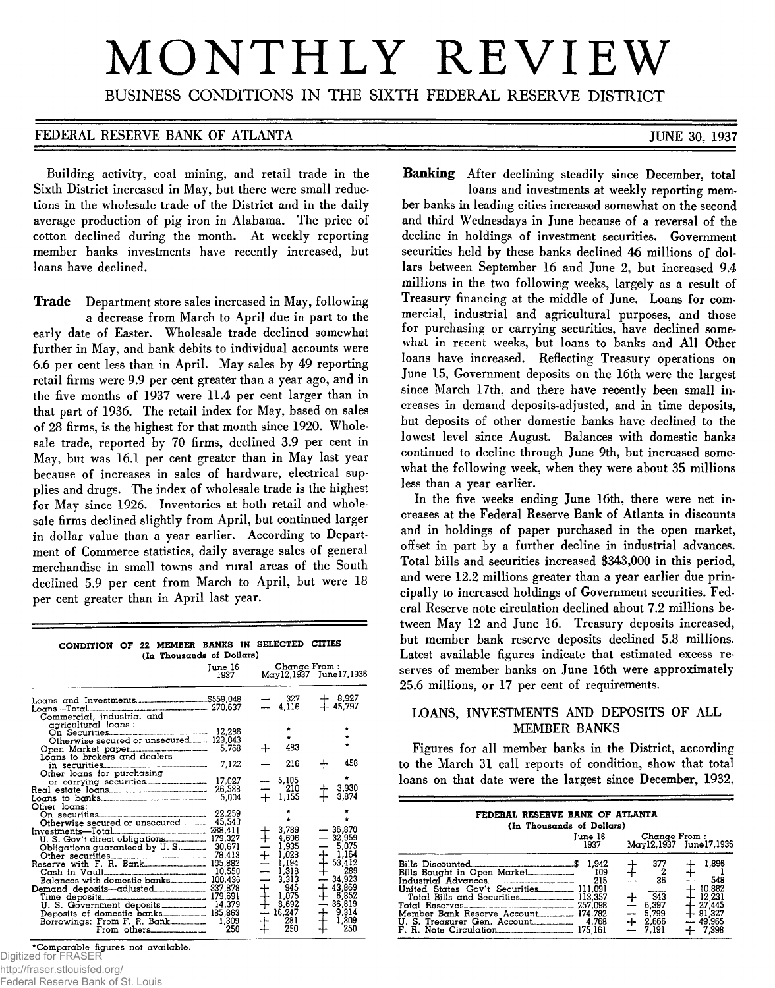# MONTHLY REVIEW

BUSINESS CONDITIONS IN THE SIXTH FEDERAL RESERVE DISTRICT

#### **FEDERAL RESERVE BANK OF ATLANTA EXECUTE 10. 1937**

Banking After declining steadily since December, total

ber banks in leading cities increased somewhat on the second and third Wednesdays in June because of a reversal of the decline in holdings of investment securities. Government securities held by these banks declined 46 millions of dollars between September 16 and June 2, but increased 9.4 millions in the two following weeks, largely as a result of Treasury financing at the middle of June. Loans for commercial, industrial and agricultural purposes, and those for purchasing or carrying securities, have declined somewhat in recent weeks, but loans to banks and All Other loans have increased. Reflecting Treasury operations on June 15, Government deposits on the 16th were the largest since March 17th, and there have recently been small increases in demand deposits-adjusted, and in time deposits, but deposits of other domestic banks have declined to the lowest level since August. Balances with domestic banks continued to decline through June 9th, but increased somewhat the following week, when they were about 35 millions

In the five weeks ending June 16th, there were net increases at the Federal Reserve Bank of Atlanta in discounts and in holdings of paper purchased in the open market, offset in part by a further decline in industrial advances. Total bills and securities increased \$343,000 in this period, and were 12.2 millions greater than a year earlier due principally to increased holdings of Government securities. Federal Reserve note circulation declined about 7.2 millions between May 12 and June 16. Treasury deposits increased, but member bank reserve deposits declined 5.8 millions. Latest available figures indicate that estimated excess reserves of member banks on June 16th were approximately

25.6 millions, or 17 per cent of requirements.

LOANS, INVESTMENTS AND DEPOSITS OF ALL MEMBER BANKS Figures for all member banks in the District, according to the March 31 call reports of condition, show that total loans on that date were the largest since December, 1932,

> FEDERAL RESERVE BANK OF ATLANTA **(In Thousands of Dollars)**

**Bills Discounted\_\_\_\_\_\_\_\_\_\_\_\_\_\_\_\_\_\_\_\_\_\_\_\_\_\_\_\_ \$ 1,942 4- 377 f- 1,896 Bills Bought in Open Market----------- Industrial Advances\_\_\_\_\_\_\_\_ \_\_\_\_\_\_\_\_ United States Gov't Securities\_\_\_\_\_\_\_\_ 111,091 h 10,882 Total Bills and Securities.. \_\_\_ \_ 113,357 4- 343 - 12,231**

**Total Reserves... 257,098 — 6,397 - 27,445 Member Bank Reserve Account™. . 174,782 — 5,799 - 81,327 U. S. Treasurer Gen. Account.**  $\begin{array}{ccc} 4.768 & +2.666 & -49.965 \\ \hline \end{array}$  **F. R. Note Circulation account. 175,161 → 7,191 + 7,398** 

**June 16 Change From : 1937 M ay 12,1937 Junel7,1936**

**109 4- 2 Hh 1 215 — 36 - 548**

less than a year earlier.

loans and investments at weekly reporting mem-

Building activity, coal mining, and retail trade in the Sixth District increased in May, but there were small reductions in the wholesale trade of the District and in the daily average production of pig iron in Alabama. The price of cotton declined during the month. At weekly reporting member banks investments have recently increased, but loans have declined.

Trade Department store sales increased in May, following a decrease from March to April due in part to the early date of Easter. Wholesale trade declined somewhat further in May, and bank debits to individual accounts were **6.6** per cent less than in April. May sales by 49 reporting retail firms were 9.9 per cent greater than a year ago, and in the five months of 1937 were 11.4 per cent larger than in that part of 1936. The retail index for May, based on sales of 28 firms, is the highest for that month since 1920. Wholesale trade, reported by 70 firms, declined 3.9 per cent in May, but was 16.1 per cent greater than in May last year because of increases in sales of hardware, electrical supplies and drugs. The index of wholesale trade is the highest for May since 1926. Inventories at both retail and wholesale firms declined slightly from April, but continued larger in dollar value than a year earlier. According to Department of Commerce statistics, daily average sales of general merchandise in small towns and rural areas of the South declined 5.9 per cent from March to April, but were 18 per cent greater than in April last year.

| CONDITION OF 22 MEMBER BANKS IN SELECTED CITIES |  |  |  |      |  |                |  |  |
|-------------------------------------------------|--|--|--|------|--|----------------|--|--|
| (In Thousands of Dollars)                       |  |  |  |      |  |                |  |  |
|                                                 |  |  |  | T 10 |  | Charles Crom 1 |  |  |

|                                                                         | June 16<br>1937 | Change From:               | May12,1937 June17,1936       |
|-------------------------------------------------------------------------|-----------------|----------------------------|------------------------------|
|                                                                         |                 | $\equiv \frac{327}{4,116}$ | $\ddagger$ 8,927<br>+ 45,797 |
| Loans-Total<br>Commercial, industrial and<br>Commercial, industrial and |                 |                            |                              |
| agricultural loans .                                                    |                 |                            |                              |
|                                                                         |                 |                            |                              |
| Otherwise secured or unsecured 129,043                                  |                 |                            |                              |
| Open Market paper [1768]                                                |                 | 483                        |                              |
| Loans to brokers and dealers                                            |                 |                            |                              |
|                                                                         | 7,122           | 216                        | 458                          |
| Other loans for purchasing                                              |                 |                            | ٠                            |
|                                                                         | 17,027          | 5,105                      |                              |
| Real estate loans                                                       | 26,588          | 210                        | 3,930                        |
|                                                                         | 5,004           | $+ 1,155$                  | 3,874                        |
| Other loans:                                                            |                 |                            |                              |
|                                                                         | 22,259          |                            |                              |
|                                                                         | 45,540          |                            |                              |
|                                                                         |                 | 3,789<br>$+ 4,696$         | $-36,870$<br>$-32.959$       |
|                                                                         |                 |                            |                              |
|                                                                         | 78,413          |                            |                              |
|                                                                         |                 |                            |                              |
|                                                                         |                 |                            |                              |
|                                                                         |                 |                            |                              |
|                                                                         |                 |                            |                              |
|                                                                         |                 |                            |                              |
|                                                                         |                 |                            |                              |
|                                                                         |                 |                            |                              |
|                                                                         |                 |                            |                              |
|                                                                         | 250             |                            |                              |

**\*C o m p a ra b le fig ures not a v a ila b le .**

Federal Reserve Bank of St. Louis

Digitized for FRASER

http://fraser.stlouisfed.org/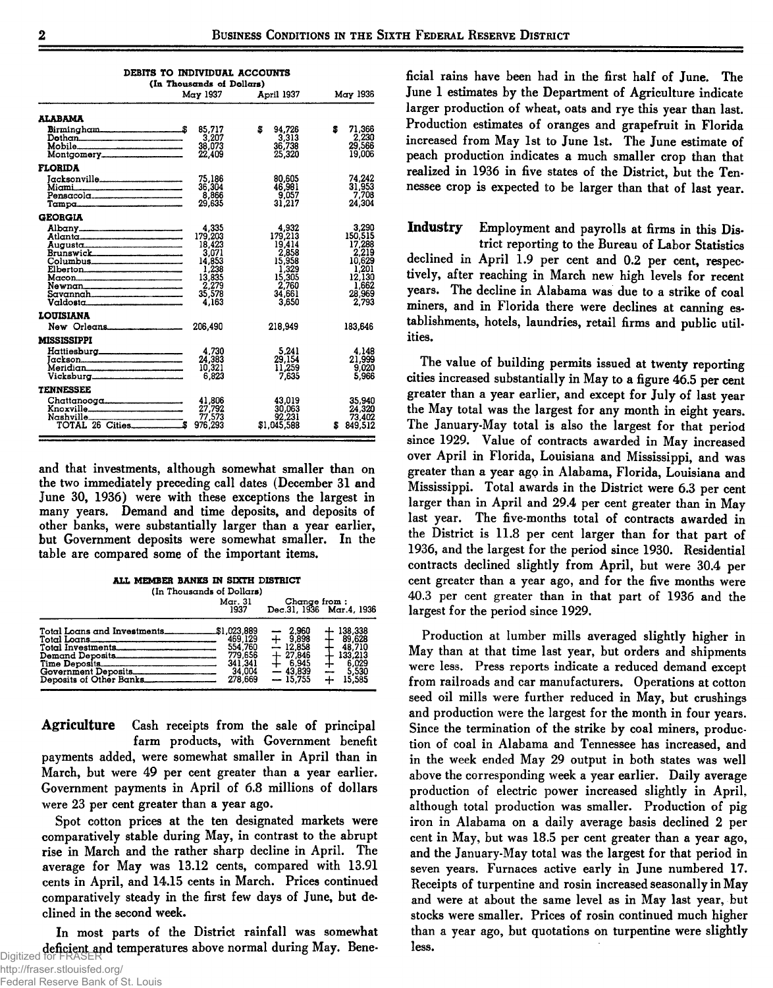| <b>DEBITS TO INDIVIDUAL ACCOUNTS</b>                                                                      |                                                                                              |                                                                                              |                                                                                              |  |  |  |  |  |  |
|-----------------------------------------------------------------------------------------------------------|----------------------------------------------------------------------------------------------|----------------------------------------------------------------------------------------------|----------------------------------------------------------------------------------------------|--|--|--|--|--|--|
| (In Thousands of Dollars)<br>May 1937<br>May 1936<br>April 1937                                           |                                                                                              |                                                                                              |                                                                                              |  |  |  |  |  |  |
| ALABAMA<br>Mobile                                                                                         | 85.717<br>3,207<br>38,073<br>22,409                                                          | s<br>94.726<br>$3,313$<br>$36,738$<br>25,320                                                 | 71,366<br>s<br>2,230<br>29,566<br>19,006                                                     |  |  |  |  |  |  |
| <b>FLORIDA</b><br>Jacksonville_____________________<br>Miami<br>Pensacola                                 | 75,186<br>36,304<br>8,866<br>29.635                                                          | 80,605<br>46,981<br>9.057<br>31,217                                                          | 74.242<br>31,953<br>7,708<br>24.304                                                          |  |  |  |  |  |  |
| <b>GEORGIA</b><br>Albany<br>Atlanta<br>Augusta<br>Brunswick<br>Elberton<br>Newnan<br>Savannah<br>Valdosta | 4,335<br>179,203<br>18,423<br>3,071<br>14.853<br>1,238<br>13,835<br>2,279<br>35,578<br>4.163 | 4,932<br>179,213<br>19,414<br>2,858<br>15,958<br>1,329<br>15,305<br>2,760<br>34,661<br>3,650 | 3,290<br>150,515<br>17,288<br>2,219<br>10,629<br>1.201<br>12,130<br>1.662<br>28,969<br>2,793 |  |  |  |  |  |  |
| <b>LOUISIANA</b><br>New Orleans                                                                           | 206,490                                                                                      | 218.949                                                                                      | 183,646                                                                                      |  |  |  |  |  |  |
| <b>MISSISSIPPI</b><br>Hattiesburg___________________<br>Meridian<br>Vicksburg________________________     | 4,730<br>24,383<br>10.321<br>6,823                                                           | 5,241<br>29,154<br>11,259<br>7,635                                                           | 4,148<br>21,999<br>9,020<br>5.966                                                            |  |  |  |  |  |  |
| <b>TENNESSEE</b><br>Knoxville<br>Nashville 77,573<br>TOTAL 26 Cities \$976,293                            | 41,806<br>27,792<br>77,573                                                                   | 43.019<br>30,063<br>92,231<br>\$1,045,588                                                    | 35.940<br>24,320<br>73,402<br>\$849,512                                                      |  |  |  |  |  |  |

and that investments, although somewhat smaller than on the two immediately preceding call dates (December 31 and June 30, 1936) were with these exceptions the largest in many years. Demand and time deposits, and deposits of other banks, were substantially larger than a year earlier, but Government deposits were somewhat smaller. In the table are compared some of the important items.

|  | all member banks in sixth district |                           |  |
|--|------------------------------------|---------------------------|--|
|  | (In Thousands of Dollars)          |                           |  |
|  | Mar. 31<br>5000                    | $G$ hange from : $\ldots$ |  |

|                                                                                                                        | 1937                                                          |                                                                                        | Dec.31, 1930 Mar.4, 1930                                                           |
|------------------------------------------------------------------------------------------------------------------------|---------------------------------------------------------------|----------------------------------------------------------------------------------------|------------------------------------------------------------------------------------|
| Total Loans<br>Total Investments<br>Demand Deposits<br>Time Deposits<br>Government Deposits<br>Deposits of Other Banks | 469,129<br>554.760<br>779.656<br>341.341<br>34.004<br>278.669 | $-2.960$<br>$+$ 9.898<br>$-12.858$<br>$+27.846$<br>$+ 6.945$<br>$-43.839$<br>$-15.755$ | $+138,338$<br>$+89.628$<br>$\pm$ 48,710<br>6.029<br>┿<br>5,530<br>15,585<br>÷<br>+ |
|                                                                                                                        |                                                               |                                                                                        |                                                                                    |

Agriculture Cash receipts from the sale of principal farm products, with Government benefit payments added, were somewhat smaller in April than in March, but were 49 per cent greater than a year earlier. Government payments in April of 6.8 millions of dollars were 23 per cent greater than a year ago.

Spot cotton prices at the ten designated markets were comparatively stable during May, in contrast to the abrupt rise in March and the rather sharp decline in April. The average for May was 13.12 cents, compared with 13.91 cents in April, and 14.15 cents in March. Prices continued comparatively steady in the first few days of June, but declined in the second week.

In most parts of the District rainfall was somewhat Digitized for FRASER ficial rains have been had in the first half of June. The June 1 estimates by the Department of Agriculture indicate larger production of wheat, oats and rye this year than last. Production estimates of oranges and grapefruit in Florida increased from May 1st to June 1st. The June estimate of peach production indicates a much smaller crop than that realized in 1936 in five states of the District, but the Tennessee crop is expected to be larger than that of last year.

**Industry** Employment and payrolls at firms in this District reporting to the Bureau of Labor Statistics declined in April 1.9 per cent and 0.2 per cent, respectively, after reaching in March new high levels for recent years. The decline in Alabama was due to a strike of coal miners, and in Florida there were declines at canning establishments, hotels, laundries, retail firms and public utilities.

The value of building permits issued at twenty reporting cities increased substantially in May to a figure 46.5 per cent greater than a year earlier, and except for July of last year the May total was the largest for any month in eight years. The January-May total is also the largest for that period since 1929. Value of contracts awarded in May increased over April in Florida, Louisiana and Mississippi, and was greater than a year ago in Alabama, Florida, Louisiana and Mississippi. Total awards in the District were 6.3 per cent larger than in April and 29.4 per cent greater than in May last year. The five-months total of contracts awarded in the District is 11.8 per cent larger than for that part of 1936, and the largest for the period since 1930. Residential contracts declined slightly from April, but were 30.4 per cent greater than a year ago, and for the five months were 40.3 per cent greater than in that part of 1936 and the largest for the period since 1929.

Production at lumber mills averaged slightly higher in May than at that time last year, but orders and shipments were less. Press reports indicate a reduced demand except from railroads and car manufacturers. Operations at cotton seed oil mills were further reduced in May, but crushings and production were the largest for the month in four years. Since the termination of the strike by coal miners, production of coal in Alabama and Tennessee has increased, and in the week ended May 29 output in both states was well above the corresponding week a year earlier. Daily average production of electric power increased slightly in April, although total production was smaller. Production of pig iron in Alabama on a daily average basis declined 2 per cent in May, but was 18.5 per cent greater than a year ago, and the January-May total was the largest for that period in seven years. Furnaces active early in June numbered 17. Receipts of turpentine and rosin increased seasonally in May and were at about the same level as in May last year, but stocks were smaller. Prices of rosin continued much higher than a year ago, but quotations on turpentine were slightly less.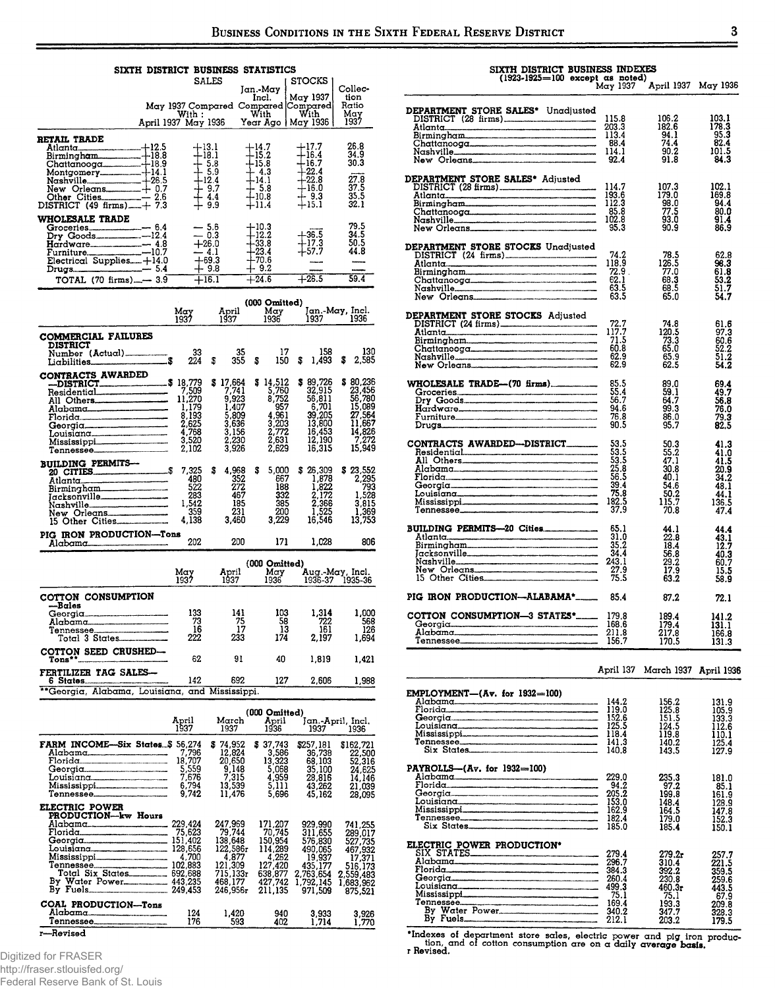#### SIXTH DISTRICT BUSINESS STATISTICS SALES **STOCKS** SALES Jan.-May STOCKS Collec-<br>
May 1937 Compared Compared Compared Hatio<br>
With : With With With May 1937<br>
With :

|                                                                                                                                                                                                                                                                                                                                                                                                                           | April 1937 May 1936 Year Ago   May 1936                               |                    |                                                                                                 |                                                                |                                                                                                       |   |                                                                                                                       | 1937                                                                                                          |
|---------------------------------------------------------------------------------------------------------------------------------------------------------------------------------------------------------------------------------------------------------------------------------------------------------------------------------------------------------------------------------------------------------------------------|-----------------------------------------------------------------------|--------------------|-------------------------------------------------------------------------------------------------|----------------------------------------------------------------|-------------------------------------------------------------------------------------------------------|---|-----------------------------------------------------------------------------------------------------------------------|---------------------------------------------------------------------------------------------------------------|
| RETAIL TRADE<br>HEADE<br>Allanta 1840<br>Allanta 19.5<br>Birmingham<br>Chattanooga 18.9<br>Montgomery<br>14.1<br>Nashville<br>Nashville<br>Nashville<br>26.5<br>New Orleans<br>27.6.5<br>Olber Cities<br>DISTRICT (49 firms)<br>-7.2.6<br>DISTRICT (49 firms)<br>-7.3                                                                                                                                                     | $+18.1$<br>$+16.3$<br>$+12.4$<br>$+12.4$<br>$+4.4$<br>$+9.9$          | $+13.1$            |                                                                                                 | $+14.7$<br>$+15.2$<br>$+15.8$<br>$+14.1$<br>$-10.8$<br>$+11.4$ |                                                                                                       |   | +17.7<br>$+16.4$<br>+16.7<br>+22.4<br>+22.8<br>+16.0<br>+15.1                                                         | 26.8<br>34.9<br>30.3<br>27.8<br>$\frac{37.5}{35.5}$<br>32.1                                                   |
| <b>WHOLESALE TRADE</b><br>$\begin{array}{rcl}\n\textbf{Groceries} & = & 6.4 \\ \textbf{Droceries} & = & -12.4 \\ \textbf{Bry Goods} & = & -12.4 \\ \textbf{Hardware} & = & -10.7 \\ \textbf{Furmiture} & = & -10.7 \\ \textbf{Electrical Supplies} & = & 14.0 \\ \textbf{Drugs} & = & 5.4 \\ \end{array}$                                                                                                                 | $\begin{array}{r} .30 \\ -4.1 \\ +69.3 \\ +9.8 \\ +16.1\n\end{array}$ | $= 5.6$<br>$= 0.3$ |                                                                                                 | $+10.3$<br>$+12.2$<br>$+33.8$<br>$+23.4$<br>$+70.6$<br>$+9.2$  |                                                                                                       |   | $+36.5$<br>$+17.3$<br>$+57.7$<br>$+26.5$                                                                              | 79.5<br>34.5<br>50.5<br>44.8                                                                                  |
| TOTAL (70 firms) $-3.9$ $+16.1$ $+24.6$                                                                                                                                                                                                                                                                                                                                                                                   |                                                                       |                    |                                                                                                 |                                                                |                                                                                                       |   |                                                                                                                       | 59.4                                                                                                          |
|                                                                                                                                                                                                                                                                                                                                                                                                                           | May<br>1937                                                           |                    | April                                                                                           |                                                                |                                                                                                       |   | ( <b>000 Omitted</b> )<br>April May Jan.-May, Incl.<br>1937 <u>1936 1937 1936</u>                                     |                                                                                                               |
| <b>COMMERCIAL FAILURES</b><br><b>DISTRICT</b><br>Number (Actual)<br>Liabilities                                                                                                                                                                                                                                                                                                                                           | $\frac{33}{224}$                                                      | \$                 | $\frac{35}{355}$                                                                                | $\mathbf{s}$                                                   | 17<br>150                                                                                             | s | 158<br>1,493                                                                                                          | \$<br>130<br>2,585                                                                                            |
| Lichilities.<br>CONTRACTS AWARDED<br>-DISTRICT 5 18,779 \$<br>Residential of 7,509<br>All Others<br>All Others<br>All Others<br>1,179<br>2,193<br>2,193<br>2,193<br>2,193<br>Au Cuers<br>Alabama<br>Alabama<br>Plorida<br>Florida<br>English and the second of the second of the second of the Mississippi<br>Tennessee<br>Constant of the second of the second of the second of the second of the second of the second o |                                                                       |                    | $$17,664$<br>$$7,741$<br>$923$<br>1,407<br>5,809<br>3,636<br>3,156<br>2,230<br>3,926            |                                                                | $$14,512$<br>5,760<br>8,752<br>957<br>4,961<br>$\frac{3,203}{2,772}$<br>$\frac{2,631}{2,629}$         |   | \$89,726<br>32,915<br>56,811<br>6,701<br>39,205<br>13,800<br>16,453<br>12,190<br>16,315                               | \$80,236<br>23,456<br>56,780<br>15,089<br>27,564<br>11,667<br>14,826<br>7,272<br>15,949                       |
| <b>BUILDING PERMITS---</b><br>PIG IRON PRODUCTION-Tons                                                                                                                                                                                                                                                                                                                                                                    |                                                                       |                    | 4,968 \$                                                                                        |                                                                | 5,000<br>667<br>$332$<br>$385$<br>$200$<br>$3200$<br>3,229                                            |   | \$26,309<br>1,878<br>1,822<br>$\begin{smallmatrix} 2.172\ 2.366\ 1.525\ 16.546 \end{smallmatrix}$                     | $$ 23,552$<br>2,295<br>793<br>1.528<br>3,815<br>1,369<br>13,753                                               |
| Alabama                                                                                                                                                                                                                                                                                                                                                                                                                   | 202                                                                   |                    | 200                                                                                             |                                                                |                                                                                                       |   | 171 1,028                                                                                                             | 806                                                                                                           |
|                                                                                                                                                                                                                                                                                                                                                                                                                           | May<br>1937                                                           |                    | April<br>1937                                                                                   |                                                                |                                                                                                       |   | (000 Omitted)<br>May Hug.-May, Incl.<br>1936 1936-37 1935-36                                                          |                                                                                                               |
| COTTON CONSUMPTION<br>-Bales<br>Georgia<br>Alabama<br>Tennessee<br>Tennessee<br>COTTON SEED CRUSHED-                                                                                                                                                                                                                                                                                                                      | 133<br>73<br>16<br>222                                                |                    | $\begin{array}{c} 141 \\ 75 \end{array}$<br>17                                                  |                                                                | 103<br>58<br>13                                                                                       |   | 1,314<br>$\begin{array}{c} 722 \\ 161 \end{array}$<br>$2\overline{3}3$ $1\overline{7}4$ $2,\overline{1}9\overline{7}$ | 1,000<br>568<br>126<br>1,694                                                                                  |
| $Tons**$ 62                                                                                                                                                                                                                                                                                                                                                                                                               |                                                                       |                    | 91                                                                                              |                                                                | 40                                                                                                    |   | 1,819                                                                                                                 | 1,421                                                                                                         |
| <b>FERTILIZER TAG SALES—</b>                                                                                                                                                                                                                                                                                                                                                                                              |                                                                       |                    |                                                                                                 |                                                                |                                                                                                       |   | 692 127 2,606                                                                                                         | 1,988                                                                                                         |
| 6 States<br>** Georgia, Alabama, Louisiana, and Mississippi.                                                                                                                                                                                                                                                                                                                                                              |                                                                       |                    |                                                                                                 |                                                                |                                                                                                       |   |                                                                                                                       |                                                                                                               |
|                                                                                                                                                                                                                                                                                                                                                                                                                           | April<br>1937                                                         |                    | March<br>1937                                                                                   |                                                                | $(000 \text{ Omited})$<br>April<br>1936                                                               |   | Jan.-April, Incl.<br>1937                                                                                             | 1936                                                                                                          |
| FARM INCOME-Six States \$ 56,274<br>Alabama<br>Florida<br>Louisiana<br>Mississippi<br>Tennessee                                                                                                                                                                                                                                                                                                                           | $7,796$<br>18,707<br>5,559<br>7,676<br>6,794<br>9.742                 |                    | \$74,952<br>12,824<br>20,650<br>$\frac{9,148}{7,315}$<br>13,539<br>11,476                       |                                                                | \$37,743<br>3,586<br>5,068<br>4,959<br>5,111<br>5,696                                                 |   | \$257,181<br>36,738<br>68,103<br>35,100<br>28,816<br>43,262<br>45,162                                                 | \$162,721<br>22,500<br>52,316<br>24,625<br>14,146<br>21,039<br>28,095                                         |
| ELECTRIC POWER<br>PRODUCTION--kw Hours<br>Muburut 10N-kw Hours<br>Muburut 10N-kw Hours<br>229,424<br>Florida 75,623<br>Georgia 151,402<br>Musisman 128,656<br>Mississippi 4,700<br>Total Six States 102,883<br>By Water Power 443,235<br>By Water Power 2449,453                                                                                                                                                          |                                                                       |                    | 247,969<br>79,744<br>138,648<br>122,586r<br>4,877<br>121,309<br>715,133r<br>468,177<br>246,956r |                                                                | 171,207<br>70,745<br>150,954<br>114,289<br>4,262<br>4,262<br>127,420<br>638,877<br>427,742<br>211,135 |   | 929,990<br>311,655<br>576,830<br>490,065<br>19,937<br>435,177<br>2,763,654<br>1,792,145<br>971,509                    | 741,255<br>289,017<br>527,735<br>467,932<br>17,371<br>516,173<br>559,483<br>2,559,483<br>1,683,962<br>875,521 |
| COAL PRODUCTION-Tons                                                                                                                                                                                                                                                                                                                                                                                                      | 124<br>176                                                            |                    | 1,420<br>593                                                                                    |                                                                | 940<br>402                                                                                            |   | 3,933<br>1,714                                                                                                        | 3,926<br>1,770                                                                                                |
| Revised                                                                                                                                                                                                                                                                                                                                                                                                                   |                                                                       |                    |                                                                                                 |                                                                |                                                                                                       |   |                                                                                                                       |                                                                                                               |

#### Digitized for FRASER

http://fraser.stlouisfed.org/

Federal Reserve Bank of St. Louis

## SIXTH DISTRICT BUSINESS INDEXES<br>(1923-1925=100 except as noted)<br>May 1937 April 1937 May 1936

| <b>DEPARTMENT STORE SALES*</b> Unadjusted<br>DISTRICT (28 firms)<br>Allanta Birmingham<br>Birmingham<br>Chattanooga Birmingham<br>Chattanooga Birmingham<br>Nashville<br>New Orleans<br>23.4<br>114.1<br>192.4<br>23.4                                 |              |                               |                |
|--------------------------------------------------------------------------------------------------------------------------------------------------------------------------------------------------------------------------------------------------------|--------------|-------------------------------|----------------|
|                                                                                                                                                                                                                                                        |              | 106.2                         | 103.1          |
|                                                                                                                                                                                                                                                        |              | 182.6                         | 178.3          |
|                                                                                                                                                                                                                                                        |              | $\frac{94.1}{74.4}$           | 95.3           |
|                                                                                                                                                                                                                                                        |              |                               | 82.4           |
|                                                                                                                                                                                                                                                        |              | 90.2                          | 101.5          |
|                                                                                                                                                                                                                                                        |              | 91.8                          | 84.3           |
|                                                                                                                                                                                                                                                        |              |                               |                |
| DEPARTMENT STORE SALES* Adjusted                                                                                                                                                                                                                       |              |                               |                |
|                                                                                                                                                                                                                                                        |              | 107.3                         | 102.1          |
|                                                                                                                                                                                                                                                        |              | 179.0                         | 169.8          |
|                                                                                                                                                                                                                                                        |              | $\frac{98.0}{77.5}$           | 94.4           |
|                                                                                                                                                                                                                                                        |              |                               | 80.0           |
| EPARTMENT STORE SALES Adjusted<br>DISTRICT (28 firms)<br>DISTRICT (28 firms)<br>Birmingham<br>Birmingham<br>Chattanooga<br>Nashville<br>Nashville<br>New Orleans<br>New Orleans<br>25.8<br>102.8<br>95.3                                               |              | 93.0                          | 91.4<br>86.9   |
|                                                                                                                                                                                                                                                        |              | 90.9                          |                |
| DEPARTMENT STORE STOCKS Unadjusted<br>DISTRICT (24 firms)<br>Atlanta Birmingham<br>Chattanooga Physical Contract Captains (22.9 firms)<br>Chattanooga Physical Captains (22.9 for Cheap Captains (23.5 New Orleans                                     |              |                               |                |
|                                                                                                                                                                                                                                                        |              |                               |                |
|                                                                                                                                                                                                                                                        |              | - 78.5                        | 62.8<br>98.3   |
|                                                                                                                                                                                                                                                        |              | 78.5<br>126.5<br>77.0<br>68.3 | 61.8           |
|                                                                                                                                                                                                                                                        |              |                               | 53.2           |
|                                                                                                                                                                                                                                                        |              | 68.5                          | 51.7           |
|                                                                                                                                                                                                                                                        |              | 65.0                          | 54.7           |
|                                                                                                                                                                                                                                                        |              |                               |                |
|                                                                                                                                                                                                                                                        |              |                               |                |
|                                                                                                                                                                                                                                                        |              | 74.8                          | 61.6           |
|                                                                                                                                                                                                                                                        |              | 120.5                         | 97.3           |
|                                                                                                                                                                                                                                                        |              | 73.3                          | 60.6           |
|                                                                                                                                                                                                                                                        |              | 65.0                          | 52.2           |
|                                                                                                                                                                                                                                                        |              | 65.9                          | 51.2           |
|                                                                                                                                                                                                                                                        |              | 62.5                          | 54.2           |
|                                                                                                                                                                                                                                                        |              |                               |                |
|                                                                                                                                                                                                                                                        |              | $89.0$<br>$59.1$              | 69.4<br>49.7   |
|                                                                                                                                                                                                                                                        |              |                               |                |
|                                                                                                                                                                                                                                                        |              | 64.7                          | 56.8           |
|                                                                                                                                                                                                                                                        |              | 99.3                          | 76.0           |
|                                                                                                                                                                                                                                                        |              | 86.0                          | $79.3$<br>82.5 |
|                                                                                                                                                                                                                                                        |              | 95.7                          |                |
| CONTRACTS AWARDED-DISTRICT<br>Ali Others<br>Ali Others<br>Floridg<br>Floridg<br>Corgian Content Content Content Content<br>Content Content Content Content<br>Mississippi<br>Tennessee<br>Tennessee<br>Content Content Content<br>Mississippi<br>Conte |              |                               |                |
|                                                                                                                                                                                                                                                        |              | 50.3                          | 41.3           |
|                                                                                                                                                                                                                                                        |              | 55.2                          | 41.0           |
|                                                                                                                                                                                                                                                        |              | 47.1<br>30.8                  | 41.5           |
|                                                                                                                                                                                                                                                        |              | 40.1                          | 20.9<br>34.2   |
|                                                                                                                                                                                                                                                        |              | 54.6                          | 48.1           |
|                                                                                                                                                                                                                                                        |              | 50.2                          | 44.1           |
|                                                                                                                                                                                                                                                        |              | 115.7                         | 136.5          |
|                                                                                                                                                                                                                                                        | 37.9         | 70.8                          | 47.4           |
|                                                                                                                                                                                                                                                        |              |                               |                |
| BUILDING PERMITS-20 Cities                                                                                                                                                                                                                             | 65.1         | 44.1                          | 44.4           |
|                                                                                                                                                                                                                                                        |              | 22.8                          | 43.1           |
| Atlanta<br>Birmingham<br>Jacksonville<br>Jacksonville<br>34.4                                                                                                                                                                                          |              | 18.4                          | 12.7           |
| Facksonville 34.4<br>Nashville 243.1                                                                                                                                                                                                                   |              | 56.8                          | 40.3           |
|                                                                                                                                                                                                                                                        |              | 29.2                          | 60.7           |
| New Orleans<br>15 Other Cities                                                                                                                                                                                                                         | 27.9<br>75.5 | 17.9                          | 15.5           |
|                                                                                                                                                                                                                                                        |              | 63.2                          | 58.9           |
|                                                                                                                                                                                                                                                        |              |                               |                |
| PIG IRON PRODUCTION-ALABAMA*____                                                                                                                                                                                                                       | 85.4         | 87.2                          | 72.1           |
| COTTON CONSUMPTION-3 STATES*                                                                                                                                                                                                                           | 179.8        | 189.4                         | 141.2          |
| Georgia 168.6                                                                                                                                                                                                                                          |              | 179.4                         | <b>131.1</b>   |
|                                                                                                                                                                                                                                                        |              | 217.8                         | 166.8          |
|                                                                                                                                                                                                                                                        |              | 170.5                         | 131.3          |
|                                                                                                                                                                                                                                                        |              |                               |                |

| $EMPLOYMENT-(Av, for 1932-100)$             | 144.2 | 156.2  | 131.9 |
|---------------------------------------------|-------|--------|-------|
|                                             | 119.0 | 125.8  | 105.9 |
| <b>G</b> eorgia <u>————————————————————</u> | 152.6 | 151.5  | 133.3 |
|                                             | 125.5 | 124.5  | 112.6 |
|                                             | 118.4 | 119.8  | 110.1 |
|                                             | 141.3 | 140.2  | 125.4 |
| Six States                                  | 140.8 | 143.5  | 127.9 |
|                                             |       |        |       |
| $PAYROLLS - (Av, for 1932 = 100)$           |       |        |       |
|                                             | 229.0 | 235.3  | 181.0 |
|                                             | 94.2  | 97.2   | 85.1  |
|                                             | 205.2 | 199.8  | 161.9 |
|                                             | 153.0 | 148.4  | 128.9 |
|                                             | 162.9 | 164.5  |       |
|                                             | 182.4 |        | 147.8 |
|                                             |       | 179.0  | 152.3 |
|                                             | 185.0 | 185.4  | 150.1 |
| ELECTRIC POWER PRODUCTION*                  |       |        |       |
|                                             | 279.4 |        |       |
|                                             |       | 279.2x | 257.7 |
|                                             | 296.7 | 310.4  | 221.5 |
|                                             | 384.3 | 392.2  | 359.5 |
|                                             | 260.4 | 230.8  | 259.6 |
|                                             | 499.3 | 460.3r | 443.5 |
|                                             | 75.1  | 75.1   | 67.9  |
|                                             | 169.4 | 193.3  | 209.8 |
| By Water Power_________________________     | 340.2 | 347.7  | 328.3 |
|                                             | 212.1 | 203.2  | 179.5 |
|                                             |       |        |       |

April 137 March 1937 April 1936

\*Indexes of department store sales, electric power and pig iron production, and of cotton consumption are on a daily average basis.